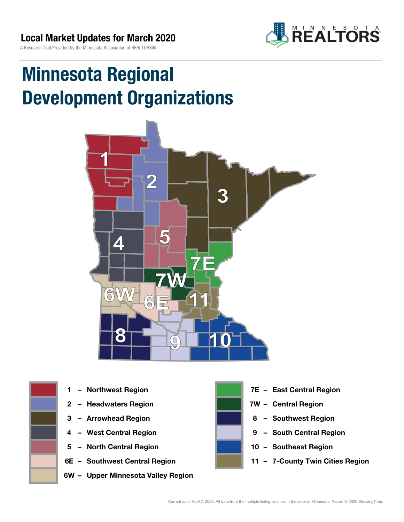

# Minnesota Regional Development Organizations





- 
- 2 Headwaters Region **1988 7W Central Region**
- 
- 
- 5 North Central Region 10 Southeast Region
- 
- 6W Upper Minnesota Valley Region



- 1 Northwest Region **1 1999 12 Property Contral Region** 
	-
- 3 Arrowhead Region **8 Southwest Region**
- 4 West Central Region **19 South Central Region** 
	-
- 6E Southwest Central Region 11 7-County Twin Cities Region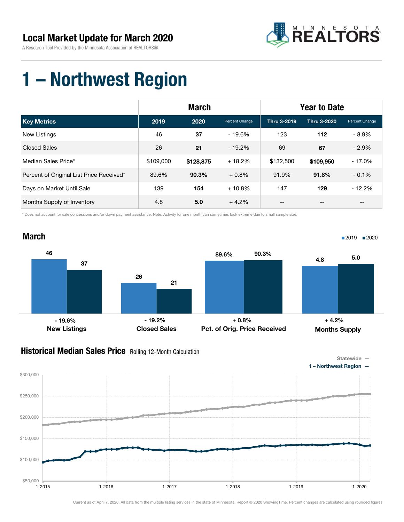

### 1 – Northwest Region

|                                          | <b>March</b> |           |                | <b>Year to Date</b> |             |                |  |
|------------------------------------------|--------------|-----------|----------------|---------------------|-------------|----------------|--|
| <b>Key Metrics</b>                       | 2019         | 2020      | Percent Change | Thru 3-2019         | Thru 3-2020 | Percent Change |  |
| New Listings                             | 46           | 37        | - 19.6%        | 123                 | 112         | $-8.9\%$       |  |
| <b>Closed Sales</b>                      | 26           | 21        | $-19.2%$       | 69                  | 67          | $-2.9%$        |  |
| Median Sales Price*                      | \$109,000    | \$128,875 | $+18.2%$       | \$132,500           | \$109,950   | $-17.0%$       |  |
| Percent of Original List Price Received* | 89.6%        | 90.3%     | $+0.8\%$       | 91.9%               | 91.8%       | $-0.1%$        |  |
| Days on Market Until Sale                | 139          | 154       | $+10.8\%$      | 147                 | 129         | $-12.2%$       |  |
| Months Supply of Inventory               | 4.8          | 5.0       | $+4.2%$        | --                  | --          | $- -$          |  |

\* Does not account for sale concessions and/or down payment assistance. Note: Activity for one month can sometimes look extreme due to small sample size.



### **Historical Median Sales Price** Rolling 12-Month Calculation

\$50,000

\$100,000

\$150,000

\$200,000

\$250,000

\$300,000



Current as of April 7, 2020. All data from the multiple listing services in the state of Minnesota. Report © 2020 ShowingTime. Percent changes are calculated using rounded figures.

1-2015 1-2016 1-2017 1-2018 1-2019 1-2020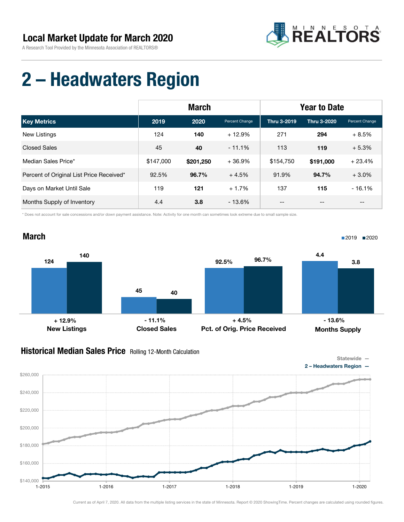

## 2 – Headwaters Region

|                                          | <b>March</b> |           |                | <b>Year to Date</b> |             |                |
|------------------------------------------|--------------|-----------|----------------|---------------------|-------------|----------------|
| <b>Key Metrics</b>                       | 2019         | 2020      | Percent Change | Thru 3-2019         | Thru 3-2020 | Percent Change |
| New Listings                             | 124          | 140       | $+12.9%$       | 271                 | 294         | $+8.5%$        |
| <b>Closed Sales</b>                      | 45           | 40        | $-11.1%$       | 113                 | 119         | $+5.3%$        |
| Median Sales Price*                      | \$147,000    | \$201.250 | $+36.9%$       | \$154,750           | \$191,000   | $+23.4%$       |
| Percent of Original List Price Received* | 92.5%        | 96.7%     | $+4.5%$        | 91.9%               | 94.7%       | $+3.0%$        |
| Days on Market Until Sale                | 119          | 121       | $+1.7%$        | 137                 | 115         | $-16.1%$       |
| Months Supply of Inventory               | 4.4          | 3.8       | $-13.6%$       | --                  | --          | --             |

\* Does not account for sale concessions and/or down payment assistance. Note: Activity for one month can sometimes look extreme due to small sample size.



### Historical Median Sales Price Rolling 12-Month Calculation

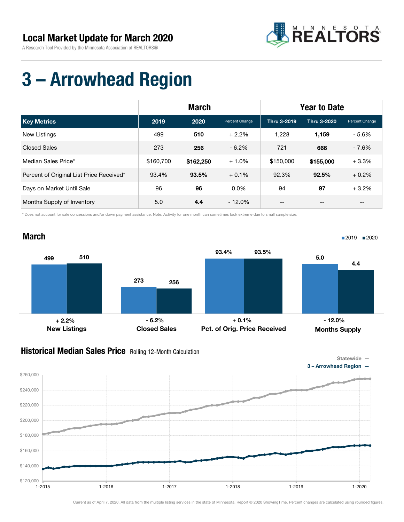

## 3 – Arrowhead Region

|                                          | <b>March</b> |           |                | <b>Year to Date</b> |             |                |
|------------------------------------------|--------------|-----------|----------------|---------------------|-------------|----------------|
| <b>Key Metrics</b>                       | 2019         | 2020      | Percent Change | Thru 3-2019         | Thru 3-2020 | Percent Change |
| New Listings                             | 499          | 510       | $+2.2%$        | 1,228               | 1,159       | $-5.6%$        |
| <b>Closed Sales</b>                      | 273          | 256       | $-6.2\%$       | 721                 | 666         | $-7.6\%$       |
| Median Sales Price*                      | \$160,700    | \$162,250 | $+1.0%$        | \$150,000           | \$155,000   | $+3.3%$        |
| Percent of Original List Price Received* | 93.4%        | 93.5%     | $+0.1\%$       | 92.3%               | 92.5%       | $+0.2%$        |
| Days on Market Until Sale                | 96           | 96        | $0.0\%$        | 94                  | 97          | $+3.2%$        |
| Months Supply of Inventory               | 5.0          | 4.4       | $-12.0\%$      | --                  | --          | $- -$          |

\* Does not account for sale concessions and/or down payment assistance. Note: Activity for one month can sometimes look extreme due to small sample size.



#### **Historical Median Sales Price** Rolling 12-Month Calculation

\$240,000

\$260,000



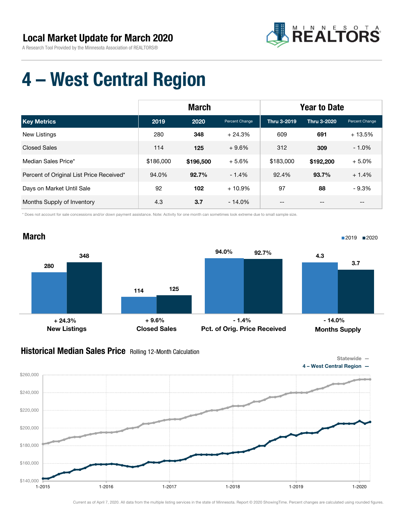

### 4 – West Central Region

|                                          | <b>March</b> |           |                | <b>Year to Date</b> |             |                                       |
|------------------------------------------|--------------|-----------|----------------|---------------------|-------------|---------------------------------------|
| <b>Key Metrics</b>                       | 2019         | 2020      | Percent Change | Thru 3-2019         | Thru 3-2020 | Percent Change                        |
| <b>New Listings</b>                      | 280          | 348       | $+24.3%$       | 609                 | 691         | $+13.5%$                              |
| <b>Closed Sales</b>                      | 114          | 125       | $+9.6%$        | 312                 | 309         | $-1.0%$                               |
| Median Sales Price*                      | \$186,000    | \$196,500 | $+5.6%$        | \$183,000           | \$192,200   | $+5.0%$                               |
| Percent of Original List Price Received* | 94.0%        | 92.7%     | $-1.4%$        | 92.4%               | 93.7%       | $+1.4%$                               |
| Days on Market Until Sale                | 92           | 102       | $+10.9%$       | 97                  | 88          | $-9.3%$                               |
| Months Supply of Inventory               | 4.3          | 3.7       | $-14.0%$       | --                  | --          | $\hspace{0.05cm}$ – $\hspace{0.05cm}$ |

\* Does not account for sale concessions and/or down payment assistance. Note: Activity for one month can sometimes look extreme due to small sample size.



### Historical Median Sales Price Rolling 12-Month Calculation

\$140,000

\$160,000

\$180,000

\$200,000

\$220,000

\$240,000

\$260,000



1-2015 1-2016 1-2017 1-2018 1-2019 1-2020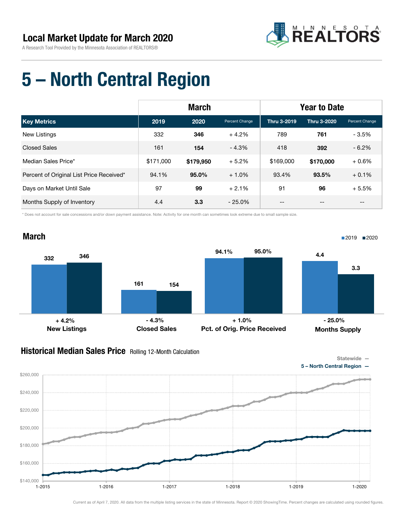

### 5 – North Central Region

|                                          | <b>March</b> |           |                | <b>Year to Date</b> |             |                |
|------------------------------------------|--------------|-----------|----------------|---------------------|-------------|----------------|
| <b>Key Metrics</b>                       | 2019         | 2020      | Percent Change | Thru 3-2019         | Thru 3-2020 | Percent Change |
| New Listings                             | 332          | 346       | $+4.2\%$       | 789                 | 761         | $-3.5%$        |
| <b>Closed Sales</b>                      | 161          | 154       | $-4.3%$        | 418                 | 392         | $-6.2%$        |
| Median Sales Price*                      | \$171,000    | \$179,950 | $+5.2%$        | \$169,000           | \$170,000   | $+0.6%$        |
| Percent of Original List Price Received* | 94.1%        | $95.0\%$  | $+1.0%$        | 93.4%               | 93.5%       | $+0.1%$        |
| Days on Market Until Sale                | 97           | 99        | $+2.1%$        | 91                  | 96          | $+5.5%$        |
| Months Supply of Inventory               | 4.4          | 3.3       | $-25.0\%$      | --                  | --          | --             |

\* Does not account for sale concessions and/or down payment assistance. Note: Activity for one month can sometimes look extreme due to small sample size.



#### Historical Median Sales Price Rolling 12-Month Calculation



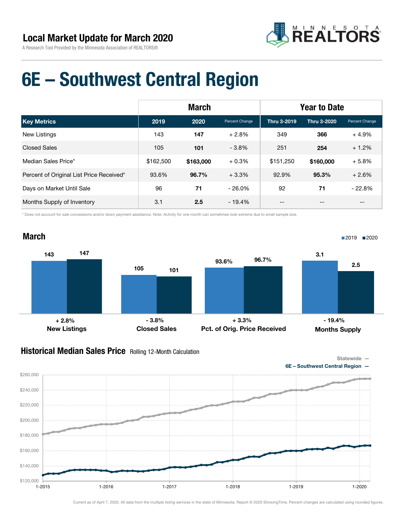

### 6E – Southwest Central Region

|                                          | <b>March</b> |           |                | <b>Year to Date</b> |             |                |  |
|------------------------------------------|--------------|-----------|----------------|---------------------|-------------|----------------|--|
| <b>Key Metrics</b>                       | 2019         | 2020      | Percent Change | Thru 3-2019         | Thru 3-2020 | Percent Change |  |
| New Listings                             | 143          | 147       | $+2.8%$        | 349                 | 366         | $+4.9%$        |  |
| <b>Closed Sales</b>                      | 105          | 101       | $-3.8%$        | 251                 | 254         | $+1.2%$        |  |
| Median Sales Price*                      | \$162,500    | \$163,000 | $+0.3%$        | \$151,250           | \$160,000   | $+5.8%$        |  |
| Percent of Original List Price Received* | 93.6%        | 96.7%     | $+3.3\%$       | 92.9%               | 95.3%       | $+2.6%$        |  |
| Days on Market Until Sale                | 96           | 71        | $-26.0\%$      | 92                  | 71          | $-22.8%$       |  |
| Months Supply of Inventory               | 3.1          | 2.5       | $-19.4%$       | --                  | --          | $- -$          |  |

\* Does not account for sale concessions and/or down payment assistance. Note: Activity for one month can sometimes look extreme due to small sample size.



#### Historical Median Sales Price Rolling 12-Month Calculation

Statewide —

6E – Southwest Central Region —

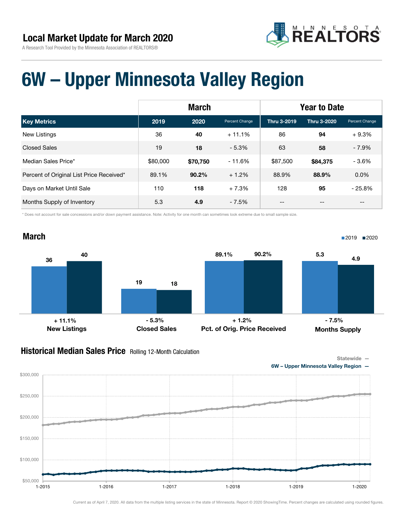

### 6W – Upper Minnesota Valley Region

|                                          | <b>March</b> |          |                | <b>Year to Date</b> |             |                |
|------------------------------------------|--------------|----------|----------------|---------------------|-------------|----------------|
| <b>Key Metrics</b>                       | 2019         | 2020     | Percent Change | Thru 3-2019         | Thru 3-2020 | Percent Change |
| <b>New Listings</b>                      | 36           | 40       | $+11.1%$       | 86                  | 94          | $+9.3%$        |
| <b>Closed Sales</b>                      | 19           | 18       | $-5.3\%$       | 63                  | 58          | $-7.9\%$       |
| Median Sales Price*                      | \$80,000     | \$70,750 | $-11.6%$       | \$87,500            | \$84,375    | $-3.6%$        |
| Percent of Original List Price Received* | 89.1%        | 90.2%    | $+1.2%$        | 88.9%               | 88.9%       | $0.0\%$        |
| Days on Market Until Sale                | 110          | 118      | $+7.3%$        | 128                 | 95          | $-25.8%$       |
| Months Supply of Inventory               | 5.3          | 4.9      | $-7.5%$        | --                  | --          | --             |

\* Does not account for sale concessions and/or down payment assistance. Note: Activity for one month can sometimes look extreme due to small sample size.



#### Historical Median Sales Price Rolling 12-Month Calculation

Statewide —

6W – Upper Minnesota Valley Region —

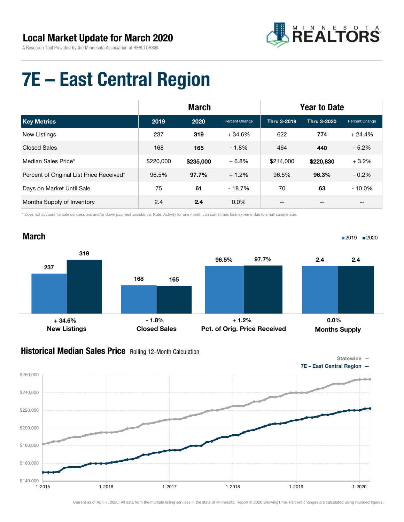

### 7E – East Central Region

|                                          | <b>March</b> |           |                | <b>Year to Date</b> |             |                |
|------------------------------------------|--------------|-----------|----------------|---------------------|-------------|----------------|
| <b>Key Metrics</b>                       | 2019         | 2020      | Percent Change | Thru 3-2019         | Thru 3-2020 | Percent Change |
| New Listings                             | 237          | 319       | $+34.6%$       | 622                 | 774         | $+24.4%$       |
| <b>Closed Sales</b>                      | 168          | 165       | $-1.8%$        | 464                 | 440         | $-5.2%$        |
| Median Sales Price*                      | \$220,000    | \$235,000 | $+6.8%$        | \$214,000           | \$220,830   | $+3.2%$        |
| Percent of Original List Price Received* | 96.5%        | 97.7%     | $+1.2%$        | 96.5%               | 96.3%       | $-0.2\%$       |
| Days on Market Until Sale                | 75           | 61        | $-18.7%$       | 70                  | 63          | $-10.0\%$      |
| Months Supply of Inventory               | 2.4          | 2.4       | $0.0\%$        | --                  | --          | --             |

\* Does not account for sale concessions and/or down payment assistance. Note: Activity for one month can sometimes look extreme due to small sample size.



#### Historical Median Sales Price Rolling 12-Month Calculation





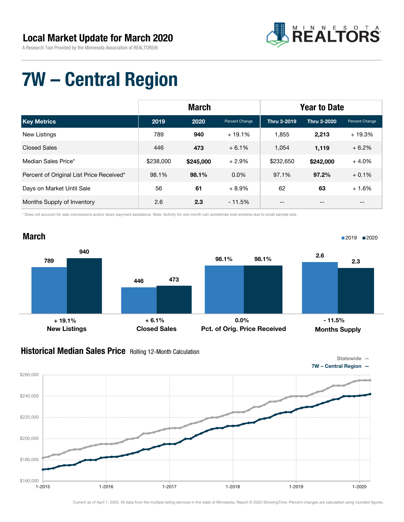

## 7W – Central Region

|                                          | <b>March</b> |           |                | <b>Year to Date</b> |             |                                       |
|------------------------------------------|--------------|-----------|----------------|---------------------|-------------|---------------------------------------|
| <b>Key Metrics</b>                       | 2019         | 2020      | Percent Change | Thru 3-2019         | Thru 3-2020 | Percent Change                        |
| New Listings                             | 789          | 940       | $+19.1%$       | 1,855               | 2,213       | $+19.3%$                              |
| <b>Closed Sales</b>                      | 446          | 473       | $+6.1%$        | 1.054               | 1,119       | $+6.2%$                               |
| Median Sales Price*                      | \$238,000    | \$245,000 | $+2.9%$        | \$232,650           | \$242,000   | $+4.0%$                               |
| Percent of Original List Price Received* | 98.1%        | 98.1%     | $0.0\%$        | 97.1%               | 97.2%       | $+0.1%$                               |
| Days on Market Until Sale                | 56           | 61        | $+8.9%$        | 62                  | 63          | $+1.6%$                               |
| Months Supply of Inventory               | 2.6          | 2.3       | $-11.5%$       | --                  | --          | $\hspace{0.05cm}$ – $\hspace{0.05cm}$ |

\* Does not account for sale concessions and/or down payment assistance. Note: Activity for one month can sometimes look extreme due to small sample size.



#### **Historical Median Sales Price** Rolling 12-Month Calculation



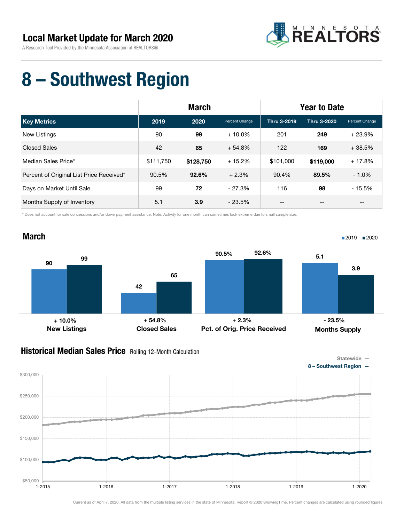

## 8 – Southwest Region

|                                          | <b>March</b> |           |                | <b>Year to Date</b> |                    |                |
|------------------------------------------|--------------|-----------|----------------|---------------------|--------------------|----------------|
| <b>Key Metrics</b>                       | 2019         | 2020      | Percent Change | Thru 3-2019         | <b>Thru 3-2020</b> | Percent Change |
| New Listings                             | 90           | 99        | $+10.0\%$      | 201                 | 249                | $+23.9%$       |
| <b>Closed Sales</b>                      | 42           | 65        | $+54.8%$       | 122                 | 169                | $+38.5%$       |
| Median Sales Price*                      | \$111,750    | \$128,750 | $+15.2%$       | \$101,000           | \$119,000          | $+17.8%$       |
| Percent of Original List Price Received* | 90.5%        | 92.6%     | $+2.3%$        | 90.4%               | 89.5%              | $-1.0\%$       |
| Days on Market Until Sale                | 99           | 72        | $-27.3%$       | 116                 | 98                 | $-15.5%$       |
| Months Supply of Inventory               | 5.1          | 3.9       | $-23.5%$       | --                  | --                 | $- -$          |

\* Does not account for sale concessions and/or down payment assistance. Note: Activity for one month can sometimes look extreme due to small sample size.



#### **Historical Median Sales Price** Rolling 12-Month Calculation

\$150,000

\$200,000

\$250,000

\$300,000





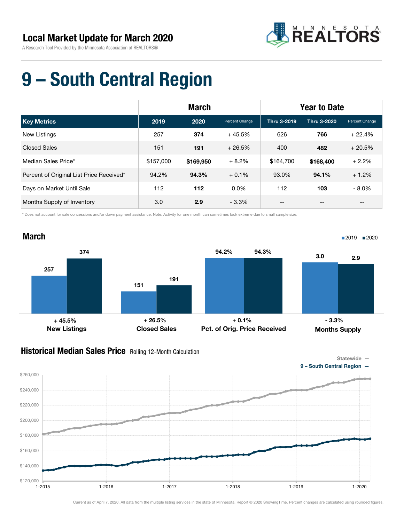

### 9 – South Central Region

|                                          | <b>March</b> |           |                | <b>Year to Date</b> |             |                |  |
|------------------------------------------|--------------|-----------|----------------|---------------------|-------------|----------------|--|
| <b>Key Metrics</b>                       | 2019         | 2020      | Percent Change | Thru 3-2019         | Thru 3-2020 | Percent Change |  |
| New Listings                             | 257          | 374       | $+45.5%$       | 626                 | 766         | $+22.4%$       |  |
| <b>Closed Sales</b>                      | 151          | 191       | $+26.5%$       | 400                 | 482         | $+20.5%$       |  |
| Median Sales Price*                      | \$157,000    | \$169,950 | $+8.2%$        | \$164,700           | \$168,400   | $+2.2%$        |  |
| Percent of Original List Price Received* | 94.2%        | 94.3%     | $+0.1\%$       | 93.0%               | 94.1%       | $+1.2%$        |  |
| Days on Market Until Sale                | 112          | 112       | $0.0\%$        | 112                 | 103         | $-8.0\%$       |  |
| Months Supply of Inventory               | 3.0          | 2.9       | $-3.3\%$       | --                  | --          | --             |  |

\* Does not account for sale concessions and/or down payment assistance. Note: Activity for one month can sometimes look extreme due to small sample size.



#### Historical Median Sales Price Rolling 12-Month Calculation



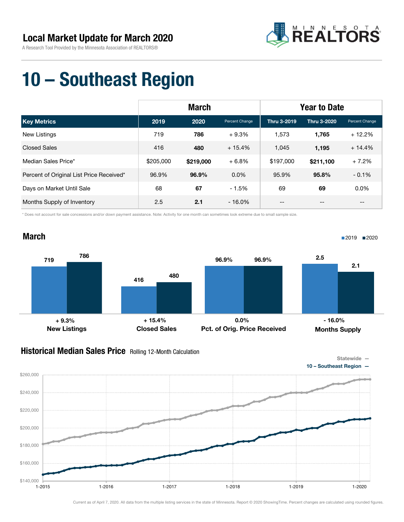March



### 10 – Southeast Region

|                                          | <b>March</b> |           |                | <b>Year to Date</b> |             |                                       |
|------------------------------------------|--------------|-----------|----------------|---------------------|-------------|---------------------------------------|
| <b>Key Metrics</b>                       | 2019         | 2020      | Percent Change | Thru 3-2019         | Thru 3-2020 | Percent Change                        |
| New Listings                             | 719          | 786       | $+9.3%$        | 1,573               | 1,765       | $+12.2%$                              |
| <b>Closed Sales</b>                      | 416          | 480       | $+15.4%$       | 1,045               | 1,195       | $+14.4%$                              |
| Median Sales Price*                      | \$205,000    | \$219,000 | $+6.8%$        | \$197,000           | \$211,100   | $+7.2%$                               |
| Percent of Original List Price Received* | 96.9%        | 96.9%     | $0.0\%$        | 95.9%               | 95.8%       | $-0.1%$                               |
| Days on Market Until Sale                | 68           | 67        | $-1.5%$        | 69                  | 69          | 0.0%                                  |
| Months Supply of Inventory               | 2.5          | 2.1       | $-16.0%$       | --                  | --          | $\hspace{0.05cm}$ – $\hspace{0.05cm}$ |

\* Does not account for sale concessions and/or down payment assistance. Note: Activity for one month can sometimes look extreme due to small sample size.



#### Historical Median Sales Price Rolling 12-Month Calculation



1-2015 1-2016 1-2017 1-2018 1-2019 1-2020